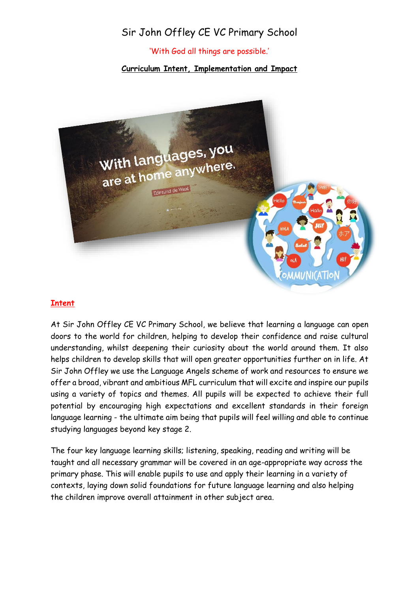## Sir John Offley CE VC Primary School

'With God all things are possible.'

**Curriculum Intent, Implementation and Impact**



## **Intent**

At Sir John Offley CE VC Primary School, we believe that learning a language can open doors to the world for children, helping to develop their confidence and raise cultural understanding, whilst deepening their curiosity about the world around them. It also helps children to develop skills that will open greater opportunities further on in life. At Sir John Offley we use the Language Angels scheme of work and resources to ensure we offer a broad, vibrant and ambitious MFL curriculum that will excite and inspire our pupils using a variety of topics and themes. All pupils will be expected to achieve their full potential by encouraging high expectations and excellent standards in their foreign language learning - the ultimate aim being that pupils will feel willing and able to continue studying languages beyond key stage 2.

The four key language learning skills; listening, speaking, reading and writing will be taught and all necessary grammar will be covered in an age-appropriate way across the primary phase. This will enable pupils to use and apply their learning in a variety of contexts, laying down solid foundations for future language learning and also helping the children improve overall attainment in other subject area.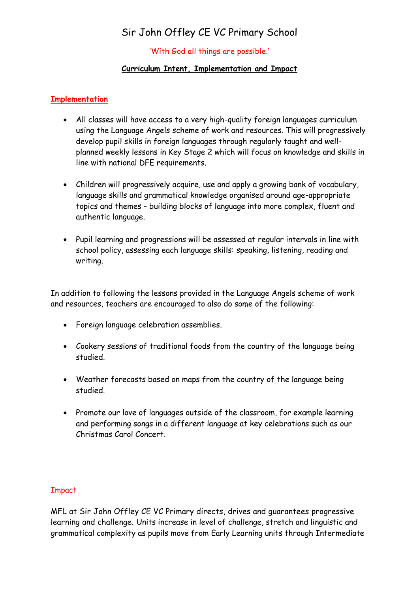# Sir John Offley CE VC Primary School

### 'With God all things are possible.'

#### **Curriculum Intent, Implementation and Impact**

### **Implementation**

- All classes will have access to a very high-quality foreign languages curriculum using the Language Angels scheme of work and resources. This will progressively develop pupil skills in foreign languages through regularly taught and wellplanned weekly lessons in Key Stage 2 which will focus on knowledge and skills in line with national DFE requirements.
- Children will progressively acquire, use and apply a growing bank of vocabulary, language skills and grammatical knowledge organised around age-appropriate topics and themes - building blocks of language into more complex, fluent and authentic language.
- Pupil learning and progressions will be assessed at regular intervals in line with school policy, assessing each language skills: speaking, listening, reading and writing.

In addition to following the lessons provided in the Language Angels scheme of work and resources, teachers are encouraged to also do some of the following:

- Foreign language celebration assemblies.
- Cookery sessions of traditional foods from the country of the language being studied.
- Weather forecasts based on maps from the country of the language being studied.
- Promote our love of languages outside of the classroom, for example learning and performing songs in a different language at key celebrations such as our Christmas Carol Concert.

## Impact

MFL at Sir John Offley CE VC Primary directs, drives and guarantees progressive learning and challenge. Units increase in level of challenge, stretch and linguistic and grammatical complexity as pupils move from Early Learning units through Intermediate